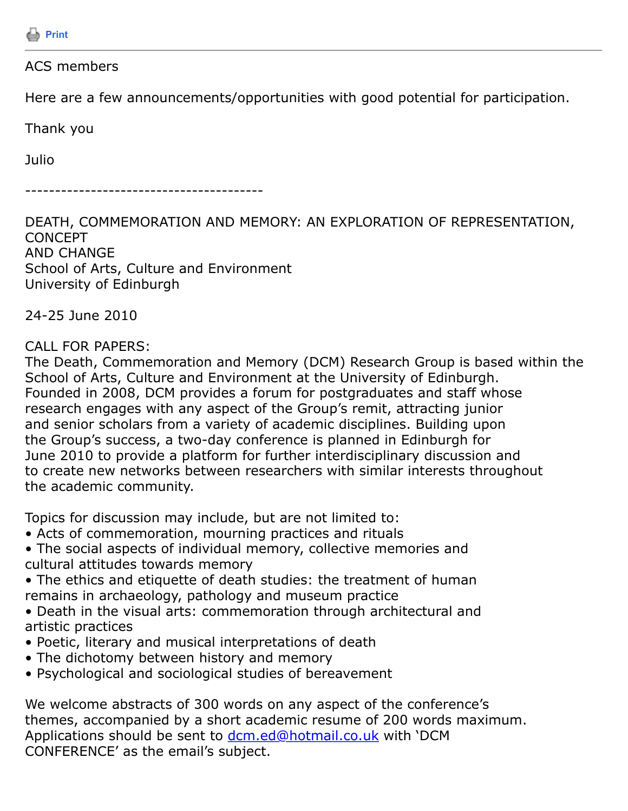

### ACS members

Here are a few announcements/opportunities with good potential for participation.

Thank you

Julio

----------------------------------------

DEATH, COMMEMORATION AND MEMORY: AN EXPLORATION OF REPRESENTATION, **CONCEPT** AND CHANGE School of Arts, Culture and Environment University of Edinburgh

24-25 June 2010

#### CALL FOR PAPERS:

The Death, Commemoration and Memory (DCM) Research Group is based within the School of Arts, Culture and Environment at the University of Edinburgh. Founded in 2008, DCM provides a forum for postgraduates and staff whose research engages with any aspect of the Group's remit, attracting junior and senior scholars from a variety of academic disciplines. Building upon the Group's success, a two-day conference is planned in Edinburgh for June 2010 to provide a platform for further interdisciplinary discussion and to create new networks between researchers with similar interests throughout the academic community.

Topics for discussion may include, but are not limited to:

- Acts of commemoration, mourning practices and rituals
- The social aspects of individual memory, collective memories and cultural attitudes towards memory
- The ethics and etiquette of death studies: the treatment of human remains in archaeology, pathology and museum practice
- Death in the visual arts: commemoration through architectural and artistic practices
- Poetic, literary and musical interpretations of death
- The dichotomy between history and memory
- Psychological and sociological studies of bereavement

We welcome abstracts of 300 words on any aspect of the conference's themes, accompanied by a short academic resume of 200 words maximum. Applications should be sent to [dcm.ed@hotmail.co.uk](https://listserv.tamu.edu/cgi-bin/dcm.ed@hotmail.co.uk) with 'DCM CONFERENCE' as the email's subject.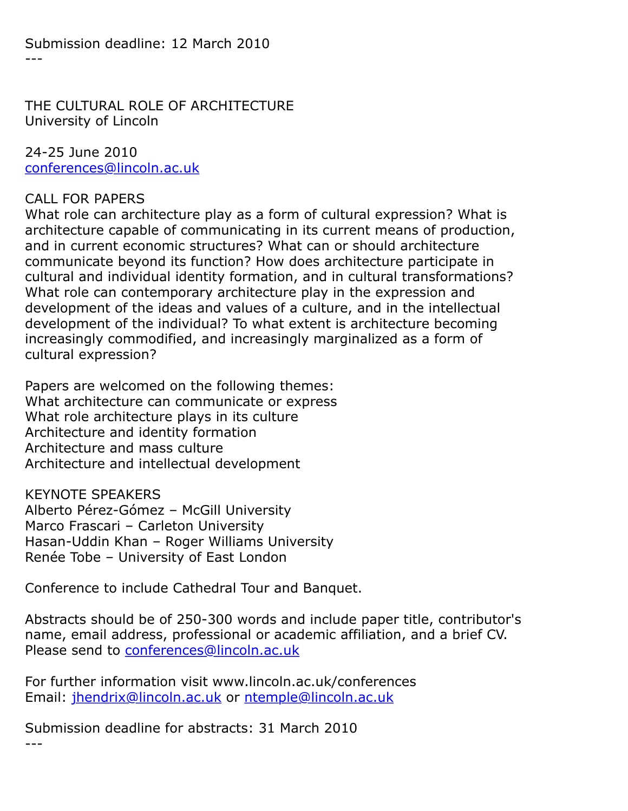Submission deadline: 12 March 2010  $- - -$ 

THE CULTURAL ROLE OF ARCHITECTURE University of Lincoln

24-25 June 2010 [conferences@lincoln.ac.uk](https://listserv.tamu.edu/cgi-bin/conferences@lincoln.ac.uk)

## CALL FOR PAPERS

What role can architecture play as a form of cultural expression? What is architecture capable of communicating in its current means of production, and in current economic structures? What can or should architecture communicate beyond its function? How does architecture participate in cultural and individual identity formation, and in cultural transformations? What role can contemporary architecture play in the expression and development of the ideas and values of a culture, and in the intellectual development of the individual? To what extent is architecture becoming increasingly commodified, and increasingly marginalized as a form of cultural expression?

Papers are welcomed on the following themes: What architecture can communicate or express What role architecture plays in its culture Architecture and identity formation Architecture and mass culture Architecture and intellectual development

KEYNOTE SPEAKERS Alberto Pérez-Gómez – McGill University Marco Frascari – Carleton University Hasan-Uddin Khan – Roger Williams University Renée Tobe – University of East London

Conference to include Cathedral Tour and Banquet.

Abstracts should be of 250-300 words and include paper title, contributor's name, email address, professional or academic affiliation, and a brief CV. Please send to [conferences@lincoln.ac.uk](https://listserv.tamu.edu/cgi-bin/conferences@lincoln.ac.uk)

For further information visit www.lincoln.ac.uk/conferences Email: [jhendrix@lincoln.ac.uk](https://listserv.tamu.edu/cgi-bin/jhendrix@lincoln.ac.uk) or [ntemple@lincoln.ac.uk](https://listserv.tamu.edu/cgi-bin/ntemple@lincoln.ac.uk)

Submission deadline for abstracts: 31 March 2010 ---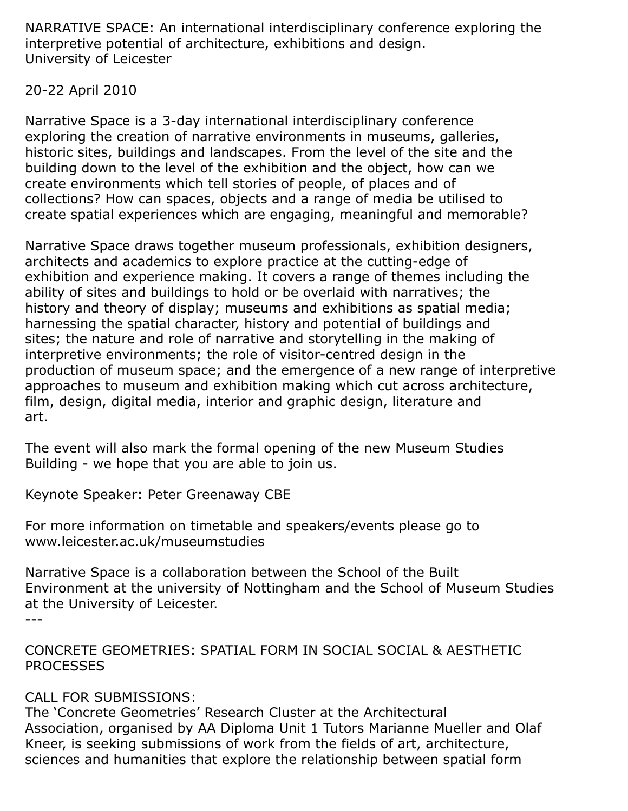NARRATIVE SPACE: An international interdisciplinary conference exploring the interpretive potential of architecture, exhibitions and design. University of Leicester

## 20-22 April 2010

Narrative Space is a 3-day international interdisciplinary conference exploring the creation of narrative environments in museums, galleries, historic sites, buildings and landscapes. From the level of the site and the building down to the level of the exhibition and the object, how can we create environments which tell stories of people, of places and of collections? How can spaces, objects and a range of media be utilised to create spatial experiences which are engaging, meaningful and memorable?

Narrative Space draws together museum professionals, exhibition designers, architects and academics to explore practice at the cutting-edge of exhibition and experience making. It covers a range of themes including the ability of sites and buildings to hold or be overlaid with narratives; the history and theory of display; museums and exhibitions as spatial media; harnessing the spatial character, history and potential of buildings and sites; the nature and role of narrative and storytelling in the making of interpretive environments; the role of visitor-centred design in the production of museum space; and the emergence of a new range of interpretive approaches to museum and exhibition making which cut across architecture, film, design, digital media, interior and graphic design, literature and art.

The event will also mark the formal opening of the new Museum Studies Building - we hope that you are able to join us.

Keynote Speaker: Peter Greenaway CBE

For more information on timetable and speakers/events please go to www.leicester.ac.uk/museumstudies

Narrative Space is a collaboration between the School of the Built Environment at the university of Nottingham and the School of Museum Studies at the University of Leicester.

---

CONCRETE GEOMETRIES: SPATIAL FORM IN SOCIAL SOCIAL & AESTHETIC PROCESSES

# CALL FOR SUBMISSIONS:

The 'Concrete Geometries' Research Cluster at the Architectural Association, organised by AA Diploma Unit 1 Tutors Marianne Mueller and Olaf Kneer, is seeking submissions of work from the fields of art, architecture, sciences and humanities that explore the relationship between spatial form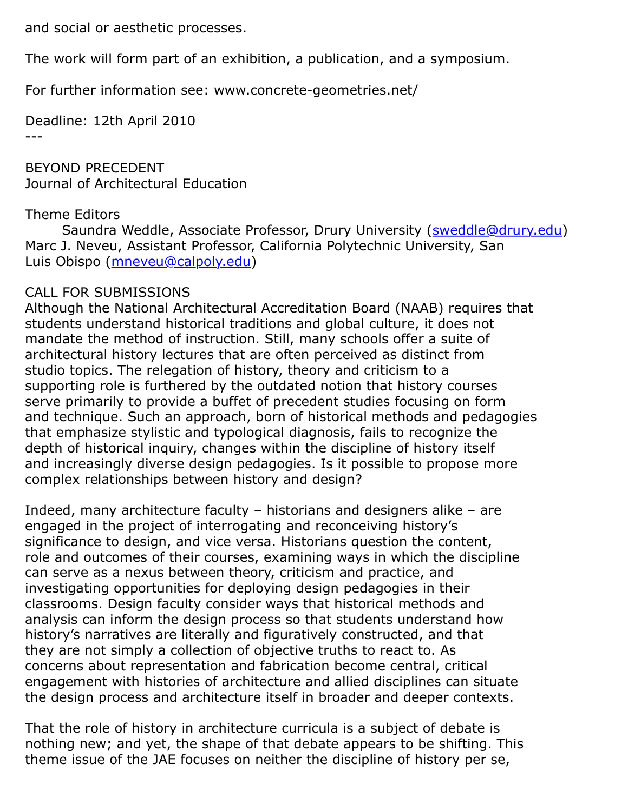and social or aesthetic processes.

The work will form part of an exhibition, a publication, and a symposium.

For further information see: www.concrete-geometries.net/

Deadline: 12th April 2010 ---

BEYOND PRECEDENT Journal of Architectural Education

## Theme Editors

Saundra Weddle, Associate Professor, Drury University (**[sweddle@drury.edu](https://listserv.tamu.edu/cgi-bin/sweddle@drury.edu)**) Marc J. Neveu, Assistant Professor, California Polytechnic University, San Luis Obispo ([mneveu@calpoly.edu\)](https://listserv.tamu.edu/cgi-bin/mneveu@calpoly.edu)

## CALL FOR SUBMISSIONS

Although the National Architectural Accreditation Board (NAAB) requires that students understand historical traditions and global culture, it does not mandate the method of instruction. Still, many schools offer a suite of architectural history lectures that are often perceived as distinct from studio topics. The relegation of history, theory and criticism to a supporting role is furthered by the outdated notion that history courses serve primarily to provide a buffet of precedent studies focusing on form and technique. Such an approach, born of historical methods and pedagogies that emphasize stylistic and typological diagnosis, fails to recognize the depth of historical inquiry, changes within the discipline of history itself and increasingly diverse design pedagogies. Is it possible to propose more complex relationships between history and design?

Indeed, many architecture faculty – historians and designers alike – are engaged in the project of interrogating and reconceiving history's significance to design, and vice versa. Historians question the content, role and outcomes of their courses, examining ways in which the discipline can serve as a nexus between theory, criticism and practice, and investigating opportunities for deploying design pedagogies in their classrooms. Design faculty consider ways that historical methods and analysis can inform the design process so that students understand how history's narratives are literally and figuratively constructed, and that they are not simply a collection of objective truths to react to. As concerns about representation and fabrication become central, critical engagement with histories of architecture and allied disciplines can situate the design process and architecture itself in broader and deeper contexts.

That the role of history in architecture curricula is a subject of debate is nothing new; and yet, the shape of that debate appears to be shifting. This theme issue of the JAE focuses on neither the discipline of history per se,